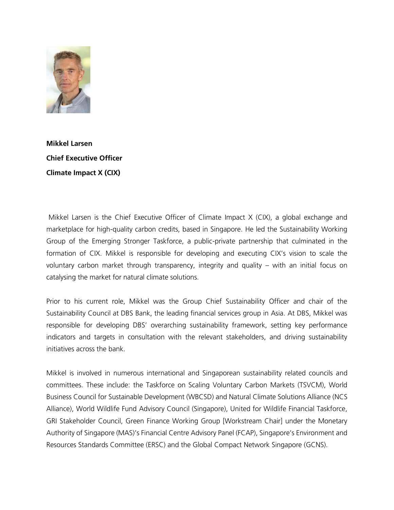

**Mikkel Larsen Chief Executive Officer Climate Impact X (CIX)**

Mikkel Larsen is the Chief Executive Officer of Climate Impact X (CIX), a global exchange and marketplace for high-quality carbon credits, based in Singapore. He led the Sustainability Working Group of the Emerging Stronger Taskforce, a public-private partnership that culminated in the formation of CIX. Mikkel is responsible for developing and executing CIX's vision to scale the voluntary carbon market through transparency, integrity and quality – with an initial focus on catalysing the market for natural climate solutions.

Prior to his current role, Mikkel was the Group Chief Sustainability Officer and chair of the Sustainability Council at DBS Bank, the leading financial services group in Asia. At DBS, Mikkel was responsible for developing DBS' overarching sustainability framework, setting key performance indicators and targets in consultation with the relevant stakeholders, and driving sustainability initiatives across the bank.

Mikkel is involved in numerous international and Singaporean sustainability related councils and committees. These include: the Taskforce on Scaling Voluntary Carbon Markets (TSVCM), World Business Council for Sustainable Development (WBCSD) and Natural Climate Solutions Alliance (NCS Alliance), World Wildlife Fund Advisory Council (Singapore), United for Wildlife Financial Taskforce, GRI Stakeholder Council, Green Finance Working Group [Workstream Chair] under the Monetary Authority of Singapore (MAS)'s Financial Centre Advisory Panel (FCAP), Singapore's Environment and Resources Standards Committee (ERSC) and the Global Compact Network Singapore (GCNS).